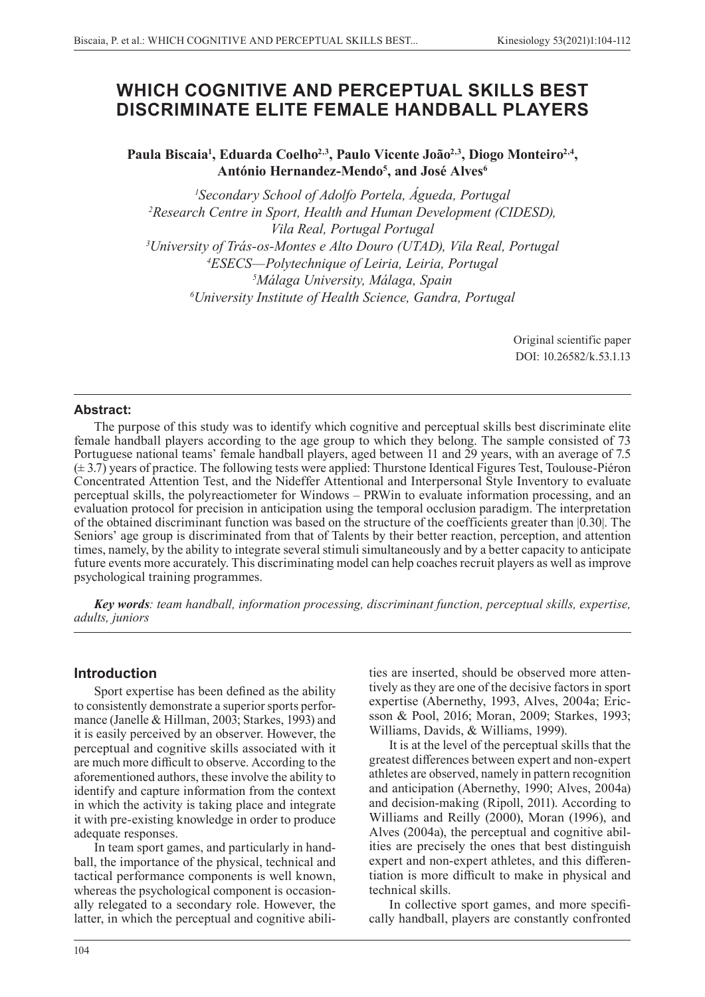# **WHICH COGNITIVE AND PERCEPTUAL SKILLS BEST DISCRIMINATE ELITE FEMALE HANDBALL PLAYERS**

Paula Biscaia<sup>1</sup>, Eduarda Coelho<sup>2,3</sup>, Paulo Vicente João<sup>2,3</sup>, Diogo Monteiro<sup>2,4</sup>, **António Hernandez-Mendo5 , and José Alves6**

 *Secondary School of Adolfo Portela, Águeda, Portugal Research Centre in Sport, Health and Human Development (CIDESD), Vila Real, Portugal Portugal University of Trás-os-Montes e Alto Douro (UTAD), Vila Real, Portugal ESECS—Polytechnique of Leiria, Leiria, Portugal Málaga University, Málaga, Spain University Institute of Health Science, Gandra, Portugal* 

> Original scientific paper DOI: 10.26582/k.53.1.13

## **Abstract:**

The purpose of this study was to identify which cognitive and perceptual skills best discriminate elite female handball players according to the age group to which they belong. The sample consisted of 73 Portuguese national teams' female handball players, aged between 11 and 29 years, with an average of 7.5 (± 3.7) years of practice. The following tests were applied: Thurstone Identical Figures Test, Toulouse-Piéron Concentrated Attention Test, and the Nideffer Attentional and Interpersonal Style Inventory to evaluate perceptual skills, the polyreactiometer for Windows – PRWin to evaluate information processing, and an evaluation protocol for precision in anticipation using the temporal occlusion paradigm. The interpretation of the obtained discriminant function was based on the structure of the coefficients greater than |0.30|. The Seniors' age group is discriminated from that of Talents by their better reaction, perception, and attention times, namely, by the ability to integrate several stimuli simultaneously and by a better capacity to anticipate future events more accurately. This discriminating model can help coaches recruit players as well as improve psychological training programmes.

*Key words: team handball, information processing, discriminant function, perceptual skills, expertise, adults, juniors*

# **Introduction**

Sport expertise has been defined as the ability to consistently demonstrate a superior sports performance (Janelle & Hillman, 2003; Starkes, 1993) and it is easily perceived by an observer. However, the perceptual and cognitive skills associated with it are much more difficult to observe. According to the aforementioned authors, these involve the ability to identify and capture information from the context in which the activity is taking place and integrate it with pre-existing knowledge in order to produce adequate responses.

In team sport games, and particularly in handball, the importance of the physical, technical and tactical performance components is well known, whereas the psychological component is occasionally relegated to a secondary role. However, the latter, in which the perceptual and cognitive abilities are inserted, should be observed more attentively as they are one of the decisive factors in sport expertise (Abernethy, 1993, Alves, 2004a; Ericsson & Pool, 2016; Moran, 2009; Starkes, 1993; Williams, Davids, & Williams, 1999).

It is at the level of the perceptual skills that the greatest differences between expert and non-expert athletes are observed, namely in pattern recognition and anticipation (Abernethy, 1990; Alves, 2004a) and decision-making (Ripoll, 2011). According to Williams and Reilly (2000), Moran (1996), and Alves (2004a), the perceptual and cognitive abilities are precisely the ones that best distinguish expert and non-expert athletes, and this differentiation is more difficult to make in physical and technical skills.

In collective sport games, and more specifically handball, players are constantly confronted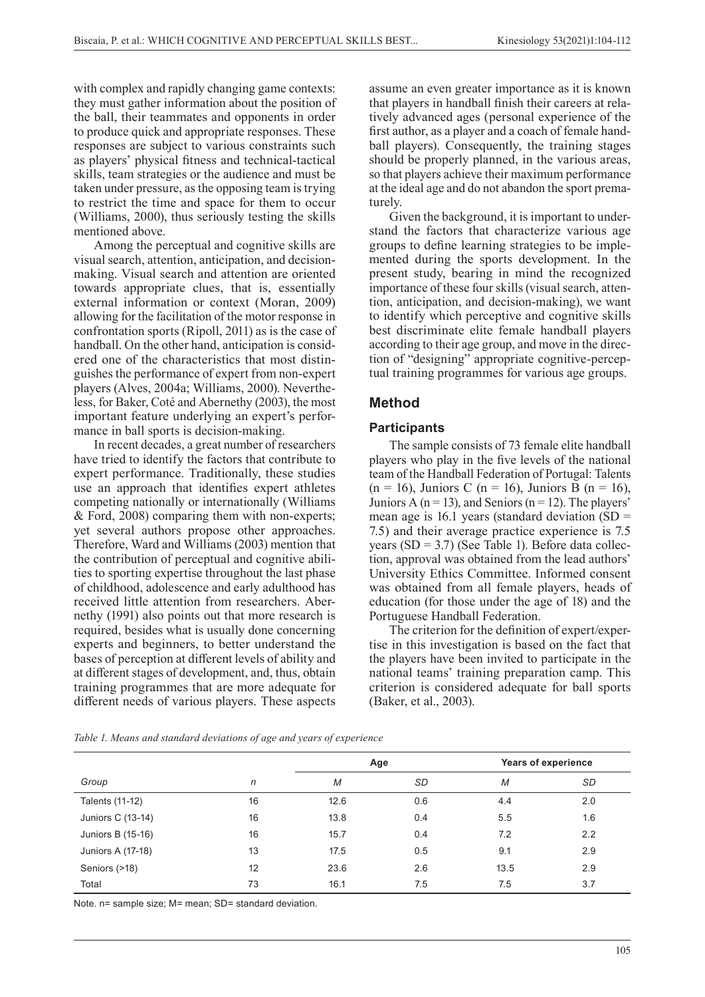with complex and rapidly changing game contexts: they must gather information about the position of the ball, their teammates and opponents in order to produce quick and appropriate responses. These responses are subject to various constraints such as players' physical fitness and technical-tactical skills, team strategies or the audience and must be taken under pressure, as the opposing team is trying to restrict the time and space for them to occur (Williams, 2000), thus seriously testing the skills mentioned above.

Among the perceptual and cognitive skills are visual search, attention, anticipation, and decisionmaking. Visual search and attention are oriented towards appropriate clues, that is, essentially external information or context (Moran, 2009) allowing for the facilitation of the motor response in confrontation sports (Ripoll, 2011) as is the case of handball. On the other hand, anticipation is considered one of the characteristics that most distinguishes the performance of expert from non-expert players (Alves, 2004a; Williams, 2000). Nevertheless, for Baker, Coté and Abernethy (2003), the most important feature underlying an expert's performance in ball sports is decision-making.

In recent decades, a great number of researchers have tried to identify the factors that contribute to expert performance. Traditionally, these studies use an approach that identifies expert athletes competing nationally or internationally (Williams & Ford, 2008) comparing them with non-experts; yet several authors propose other approaches. Therefore, Ward and Williams (2003) mention that the contribution of perceptual and cognitive abilities to sporting expertise throughout the last phase of childhood, adolescence and early adulthood has received little attention from researchers. Abernethy (1991) also points out that more research is required, besides what is usually done concerning experts and beginners, to better understand the bases of perception at different levels of ability and at different stages of development, and, thus, obtain training programmes that are more adequate for different needs of various players. These aspects assume an even greater importance as it is known that players in handball finish their careers at relatively advanced ages (personal experience of the first author, as a player and a coach of female handball players). Consequently, the training stages should be properly planned, in the various areas, so that players achieve their maximum performance at the ideal age and do not abandon the sport prematurely.

Given the background, it is important to understand the factors that characterize various age groups to define learning strategies to be implemented during the sports development. In the present study, bearing in mind the recognized importance of these four skills (visual search, attention, anticipation, and decision-making), we want to identify which perceptive and cognitive skills best discriminate elite female handball players according to their age group, and move in the direction of "designing" appropriate cognitive-perceptual training programmes for various age groups.

## **Method**

#### **Participants**

The sample consists of 73 female elite handball players who play in the five levels of the national team of the Handball Federation of Portugal: Talents  $(n = 16)$ , Juniors C  $(n = 16)$ , Juniors B  $(n = 16)$ , Juniors A ( $n = 13$ ), and Seniors ( $n = 12$ ). The players' mean age is 16.1 years (standard deviation (SD = 7.5) and their average practice experience is 7.5 years  $(SD = 3.7)$  (See Table 1). Before data collection, approval was obtained from the lead authors' University Ethics Committee. Informed consent was obtained from all female players, heads of education (for those under the age of 18) and the Portuguese Handball Federation.

The criterion for the definition of expert/expertise in this investigation is based on the fact that the players have been invited to participate in the national teams' training preparation camp. This criterion is considered adequate for ball sports (Baker, et al., 2003).

|                   |    | Age  |           | Years of experience |     |  |
|-------------------|----|------|-----------|---------------------|-----|--|
| Group             | n  | M    | <b>SD</b> | M                   | SD  |  |
| Talents (11-12)   | 16 | 12.6 | 0.6       | 4.4                 | 2.0 |  |
| Juniors C (13-14) | 16 | 13.8 | 0.4       | 5.5                 | 1.6 |  |
| Juniors B (15-16) | 16 | 15.7 | 0.4       | 7.2                 | 2.2 |  |
| Juniors A (17-18) | 13 | 17.5 | 0.5       | 9.1                 | 2.9 |  |
| Seniors (>18)     | 12 | 23.6 | 2.6       | 13.5                | 2.9 |  |
| Total             | 73 | 16.1 | 7.5       | 7.5                 | 3.7 |  |

*Table 1. Means and standard deviations of age and years of experience*

Note. n= sample size; M= mean; SD= standard deviation.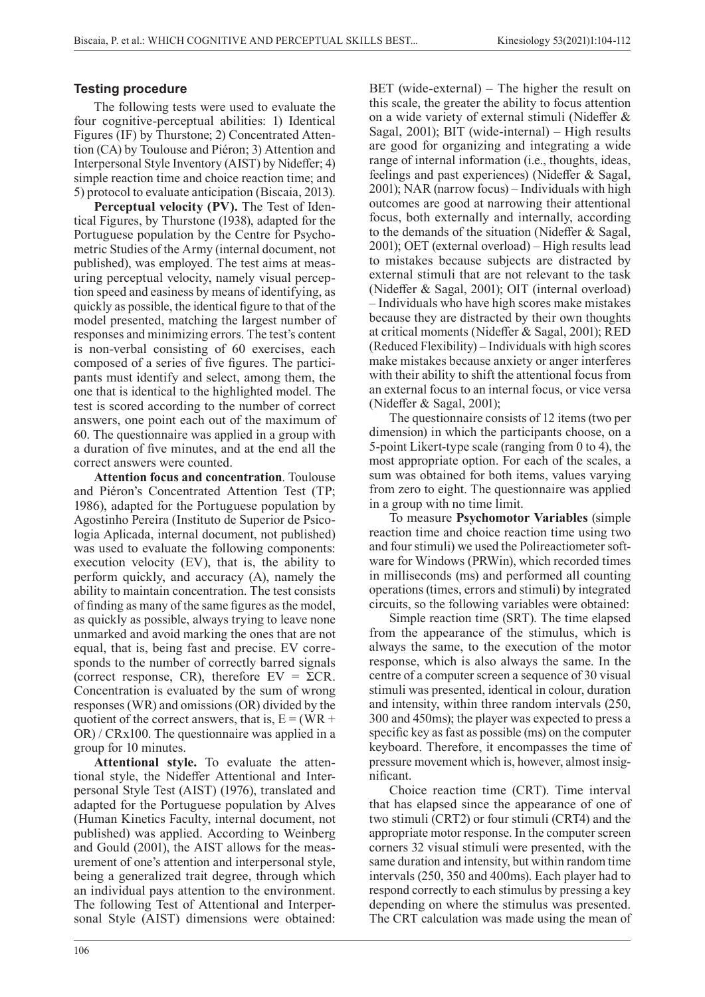## **Testing procedure**

The following tests were used to evaluate the four cognitive-perceptual abilities: 1) Identical Figures (IF) by Thurstone; 2) Concentrated Attention (CA) by Toulouse and Piéron; 3) Attention and Interpersonal Style Inventory (AIST) by Nideffer; 4) simple reaction time and choice reaction time; and 5) protocol to evaluate anticipation (Biscaia, 2013).

**Perceptual velocity (PV).** The Test of Identical Figures, by Thurstone (1938), adapted for the Portuguese population by the Centre for Psychometric Studies of the Army (internal document, not published), was employed. The test aims at measuring perceptual velocity, namely visual perception speed and easiness by means of identifying, as quickly as possible, the identical figure to that of the model presented, matching the largest number of responses and minimizing errors. The test's content is non-verbal consisting of 60 exercises, each composed of a series of five figures. The participants must identify and select, among them, the one that is identical to the highlighted model. The test is scored according to the number of correct answers, one point each out of the maximum of 60. The questionnaire was applied in a group with a duration of five minutes, and at the end all the correct answers were counted.

**Attention focus and concentration**. Toulouse and Piéron's Concentrated Attention Test (TP; 1986), adapted for the Portuguese population by Agostinho Pereira (Instituto de Superior de Psicologia Aplicada, internal document, not published) was used to evaluate the following components: execution velocity (EV), that is, the ability to perform quickly, and accuracy (A), namely the ability to maintain concentration. The test consists of finding as many of the same figures as the model, as quickly as possible, always trying to leave none unmarked and avoid marking the ones that are not equal, that is, being fast and precise. EV corresponds to the number of correctly barred signals (correct response, CR), therefore  $EV = \Sigma CR$ . Concentration is evaluated by the sum of wrong responses (WR) and omissions (OR) divided by the quotient of the correct answers, that is,  $E = (WR +$ OR) / CRx100. The questionnaire was applied in a group for 10 minutes.

**Attentional style.** To evaluate the attentional style, the Nideffer Attentional and Interpersonal Style Test (AIST) (1976), translated and adapted for the Portuguese population by Alves (Human Kinetics Faculty, internal document, not published) was applied. According to Weinberg and Gould (2001), the AIST allows for the measurement of one's attention and interpersonal style, being a generalized trait degree, through which an individual pays attention to the environment. The following Test of Attentional and Interpersonal Style (AIST) dimensions were obtained:

BET (wide-external) – The higher the result on this scale, the greater the ability to focus attention on a wide variety of external stimuli (Nideffer & Sagal, 2001); BIT (wide-internal) – High results are good for organizing and integrating a wide range of internal information (i.e., thoughts, ideas, feelings and past experiences) (Nideffer & Sagal, 2001); NAR (narrow focus) – Individuals with high outcomes are good at narrowing their attentional focus, both externally and internally, according to the demands of the situation (Nideffer & Sagal, 2001); OET (external overload) – High results lead to mistakes because subjects are distracted by external stimuli that are not relevant to the task (Nideffer & Sagal, 2001); OIT (internal overload) – Individuals who have high scores make mistakes because they are distracted by their own thoughts at critical moments (Nideffer & Sagal, 2001); RED (Reduced Flexibility) – Individuals with high scores make mistakes because anxiety or anger interferes with their ability to shift the attentional focus from an external focus to an internal focus, or vice versa (Nideffer & Sagal, 2001);

The questionnaire consists of 12 items (two per dimension) in which the participants choose, on a 5-point Likert-type scale (ranging from 0 to 4), the most appropriate option. For each of the scales, a sum was obtained for both items, values varying from zero to eight. The questionnaire was applied in a group with no time limit.

To measure **Psychomotor Variables** (simple reaction time and choice reaction time using two and four stimuli) we used the Polireactiometer software for Windows (PRWin), which recorded times in milliseconds (ms) and performed all counting operations (times, errors and stimuli) by integrated circuits, so the following variables were obtained:

Simple reaction time (SRT). The time elapsed from the appearance of the stimulus, which is always the same, to the execution of the motor response, which is also always the same. In the centre of a computer screen a sequence of 30 visual stimuli was presented, identical in colour, duration and intensity, within three random intervals (250, 300 and 450ms); the player was expected to press a specific key as fast as possible (ms) on the computer keyboard. Therefore, it encompasses the time of pressure movement which is, however, almost insignificant.

Choice reaction time (CRT). Time interval that has elapsed since the appearance of one of two stimuli (CRT2) or four stimuli (CRT4) and the appropriate motor response. In the computer screen corners 32 visual stimuli were presented, with the same duration and intensity, but within random time intervals (250, 350 and 400ms). Each player had to respond correctly to each stimulus by pressing a key depending on where the stimulus was presented. The CRT calculation was made using the mean of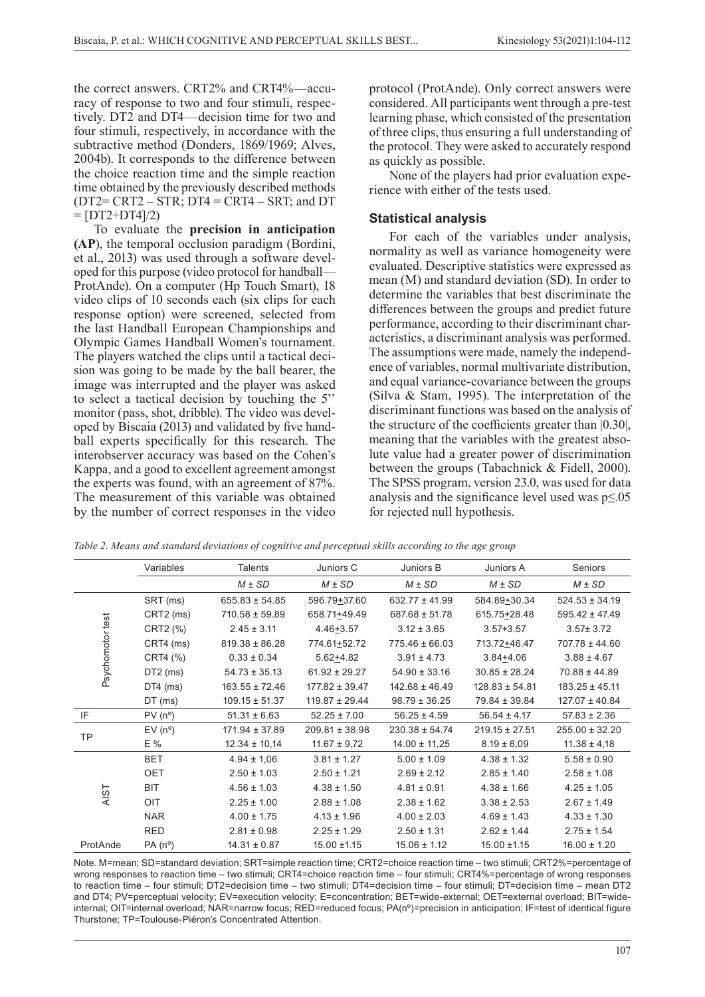the correct answers. CRT2% and CRT4%—accuracy of response to two and four stimuli, respectively. DT2 and DT4—decision time for two and four stimuli, respectively, in accordance with the subtractive method (Donders, 1869/1969; Alves, 2004b). It corresponds to the difference between the choice reaction time and the simple reaction time obtained by the previously described methods  $(DT2=CRT2 - STR; DT4 = CRT4 - SRT;$  and DT  $=$  [DT2+DT4] $/2$ )

To evaluate the **precision in anticipation (AP**), the temporal occlusion paradigm (Bordini, et al., 2013) was used through a software developed for this purpose (video protocol for handball— ProtAnde). On a computer (Hp Touch Smart), 18 video clips of 10 seconds each (six clips for each response option) were screened, selected from the last Handball European Championships and Olympic Games Handball Women's tournament. The players watched the clips until a tactical decision was going to be made by the ball bearer, the image was interrupted and the player was asked to select a tactical decision by touching the 5'' monitor (pass, shot, dribble). The video was developed by Biscaia (2013) and validated by five handball experts specifically for this research. The interobserver accuracy was based on the Cohen's Kappa, and a good to excellent agreement amongst the experts was found, with an agreement of 87%. The measurement of this variable was obtained by the number of correct responses in the video

protocol (ProtAnde). Only correct answers were considered. All participants went through a pre-test learning phase, which consisted of the presentation of three clips, thus ensuring a full understanding of the protocol. They were asked to accurately respond as quickly as possible.

None of the players had prior evaluation experience with either of the tests used.

## **Statistical analysis**

For each of the variables under analysis, normality as well as variance homogeneity were evaluated. Descriptive statistics were expressed as mean (M) and standard deviation (SD). In order to determine the variables that best discriminate the differences between the groups and predict future performance, according to their discriminant characteristics, a discriminant analysis was performed. The assumptions were made, namely the independence of variables, normal multivariate distribution, and equal variance-covariance between the groups (Silva & Stam, 1995). The interpretation of the discriminant functions was based on the analysis of the structure of the coefficients greater than |0.30|, meaning that the variables with the greatest absolute value had a greater power of discrimination between the groups (Tabachnick & Fidell, 2000). The SPSS program, version 23.0, was used for data analysis and the significance level used was  $p \le 0.05$ for rejected null hypothesis.

*Table 2. Means and standard deviations of cognitive and perceptual skills according to the age group*

|                  | Variables       | <b>Talents</b>     | Juniors C          | Juniors B          | Juniors A          | Seniors            |
|------------------|-----------------|--------------------|--------------------|--------------------|--------------------|--------------------|
|                  |                 | $M \pm SD$         | $M \pm SD$         | $M \pm SD$         | $M \pm SD$         | $M \pm SD$         |
| Psychomotor test | SRT (ms)        | $655.83 \pm 54.85$ | 596.79+37.60       | $632.77 \pm 41.99$ | 584.89+30.34       | $524.53 \pm 34.19$ |
|                  | CRT2 (ms)       | $710.58 \pm 59.89$ | 658.71+49.49       | $687.68 \pm 51.78$ | 615.75+28.48       | $595.42 \pm 47.49$ |
|                  | CRT2 (%)        | $2.45 \pm 3.11$    | $4.46 + 3.57$      | $3.12 \pm 3.65$    | $3.57 + 3.57$      | $3.57 \pm 3.72$    |
|                  | CRT4 (ms)       | $819.38 \pm 86.28$ | 774.61+52.72       | $775.46 \pm 66.03$ | 713.72+46.47       | 707.78 ± 44.60     |
|                  | CRT4 (%)        | $0.33 \pm 0.34$    | $5.62 + 4.82$      | $3.91 \pm 4.73$    | $3.84 + 4.06$      | $3.88 \pm 4.67$    |
|                  | $DT2$ (ms)      | $54.73 \pm 35.13$  | $61.92 \pm 29.27$  | $54.90 \pm 33.16$  | $30.85 \pm 28.24$  | $70.88 \pm 44.89$  |
|                  | $DT4$ (ms)      | $163.55 \pm 72.46$ | $177.82 \pm 39.47$ | $142.68 \pm 46.49$ | $128.83 \pm 54.81$ | $183.25 \pm 45.11$ |
|                  | $DT$ (ms)       | $109.15 \pm 51.37$ | $119.87 \pm 29.44$ | $98.79 \pm 36.25$  | 79.84 ± 39.84      | $127.07 \pm 40.84$ |
| IF               | $PV(n^{\circ})$ | $51.31 \pm 6.63$   | $52.25 \pm 7.00$   | $56.25 \pm 4.59$   | $56.54 \pm 4.17$   | $57.83 \pm 2.36$   |
| <b>TP</b>        | $EV(n^{\circ})$ | $171.94 \pm 37.89$ | $209.81 \pm 38.98$ | $230.38 \pm 54.74$ | $219.15 \pm 27.51$ | $255.00 \pm 32.20$ |
|                  | E %             | $12.34 \pm 10,14$  | $11.67 \pm 9.72$   | $14.00 \pm 11,25$  | $8.19 \pm 6.09$    | $11.38 \pm 4.18$   |
| <b>AIST</b>      | <b>BET</b>      | $4.94 \pm 1.06$    | $3.81 \pm 1.27$    | $5.00 \pm 1.09$    | $4.38 \pm 1.32$    | $5.58 \pm 0.90$    |
|                  | <b>OET</b>      | $2.50 \pm 1.03$    | $2.50 \pm 1.21$    | $2.69 \pm 2.12$    | $2.85 \pm 1.40$    | $2.58 \pm 1.08$    |
|                  | <b>BIT</b>      | $4.56 \pm 1.03$    | $4.38 \pm 1.50$    | $4.81 \pm 0.91$    | $4.38 \pm 1.66$    | $4.25 \pm 1.05$    |
|                  | OIT             | $2.25 \pm 1.00$    | $2.88 \pm 1.08$    | $2.38 \pm 1.62$    | $3.38 \pm 2.53$    | $2.67 \pm 1.49$    |
|                  | <b>NAR</b>      | $4.00 \pm 1.75$    | $4.13 \pm 1.96$    | $4.00 \pm 2.03$    | $4.69 \pm 1.43$    | $4.33 \pm 1.30$    |
|                  | <b>RED</b>      | $2.81 \pm 0.98$    | $2.25 \pm 1.29$    | $2.50 \pm 1.31$    | $2.62 \pm 1.44$    | $2.75 \pm 1.54$    |
| ProtAnde         | $PA(n^{\circ})$ | $14.31 \pm 0.87$   | $15.00 \pm 1.15$   | $15.06 \pm 1.12$   | $15.00 \pm 1.15$   | $16.00 \pm 1.20$   |

Note. M=mean; SD=standard deviation; SRT=simple reaction time; CRT2=choice reaction time – two stimuli; CRT2%=percentage of wrong responses to reaction time – two stimuli; CRT4=choice reaction time – four stimuli; CRT4%=percentage of wrong responses to reaction time – four stimuli; DT2=decision time – two stimuli; DT4=decision time – four stimuli; DT=decision time – mean DT2 and DT4; PV=perceptual velocity; EV=execution velocity; E=concentration; BET=wide-external; OET=external overload; BIT=wideinternal; OIT=internal overload; NAR=narrow focus; RED=reduced focus; PA(nº)=precision in anticipation; IF=test of identical figure Thurstone; TP=Toulouse-Piéron's Concentrated Attention.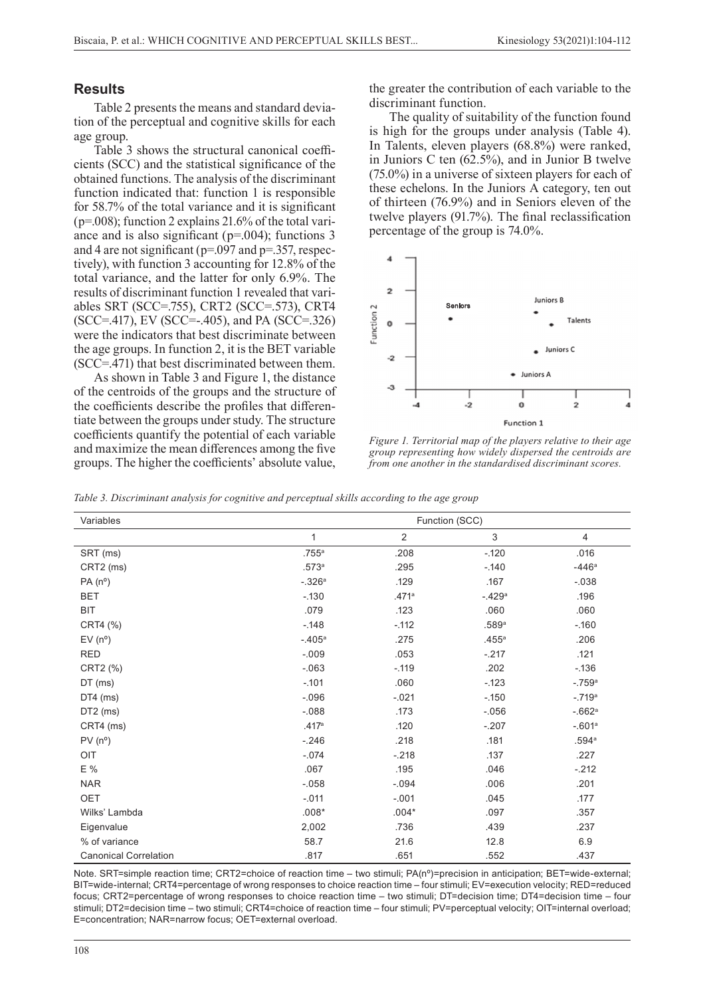### **Results**

Table 2 presents the means and standard deviation of the perceptual and cognitive skills for each age group.

Table 3 shows the structural canonical coefficients (SCC) and the statistical significance of the obtained functions. The analysis of the discriminant function indicated that: function 1 is responsible for 58.7% of the total variance and it is significant  $(p=0.008)$ ; function 2 explains 21.6% of the total variance and is also significant ( $p=0.004$ ); functions 3 and 4 are not significant (p=.097 and p=.357, respectively), with function 3 accounting for 12.8% of the total variance, and the latter for only 6.9%. The results of discriminant function 1 revealed that variables SRT (SCC=.755), CRT2 (SCC=.573), CRT4 (SCC=.417), EV (SCC=-.405), and PA (SCC=.326) were the indicators that best discriminate between the age groups. In function 2, it is the BET variable (SCC=.471) that best discriminated between them.

As shown in Table 3 and Figure 1, the distance of the centroids of the groups and the structure of the coefficients describe the profiles that differentiate between the groups under study. The structure coefficients quantify the potential of each variable and maximize the mean differences among the five groups. The higher the coefficients' absolute value, the greater the contribution of each variable to the discriminant function.

The quality of suitability of the function found is high for the groups under analysis (Table 4). In Talents, eleven players (68.8%) were ranked, in Juniors C ten (62.5%), and in Junior B twelve (75.0%) in a universe of sixteen players for each of these echelons. In the Juniors A category, ten out of thirteen (76.9%) and in Seniors eleven of the twelve players (91.7%). The final reclassification percentage of the group is 74.0%.



*Figure 1. Territorial map of the players relative to their age group representing how widely dispersed the centroids are from one another in the standardised discriminant scores.* 

*Table 3. Discriminant analysis for cognitive and perceptual skills according to the age group*

| Variables                    | Function (SCC) |                |                           |                     |  |
|------------------------------|----------------|----------------|---------------------------|---------------------|--|
|                              | 1              | $\overline{2}$ | $\ensuremath{\mathsf{3}}$ | 4                   |  |
| SRT (ms)                     | .755a          | .208           | $-.120$                   | .016                |  |
| CRT2 (ms)                    | .573a          | .295           | $-140$                    | $-446a$             |  |
| $PA(n^{\circ})$              | $-.326a$       | .129           | .167                      | $-0.038$            |  |
| <b>BET</b>                   | $-130$         | .471a          | $-429a$                   | .196                |  |
| <b>BIT</b>                   | .079           | .123           | .060                      | .060                |  |
| CRT4 (%)                     | $-0.148$       | $-112$         | .589a                     | $-160$              |  |
| $EV(n^{\circ})$              | $-.405a$       | .275           | .455a                     | .206                |  |
| <b>RED</b>                   | $-0.09$        | .053           | $-217$                    | .121                |  |
| CRT2 (%)                     | $-063$         | $-.119$        | .202                      | $-136$              |  |
| DT (ms)                      | $-101$         | .060           | $-123$                    | $-759a$             |  |
| $DT4$ (ms)                   | $-0.096$       | $-.021$        | $-150$                    | $-.719a$            |  |
| $DT2$ (ms)                   | $-0.088$       | .173           | $-0.056$                  | $-662$ <sup>a</sup> |  |
| CRT4 (ms)                    | .417a          | .120           | $-207$                    | $-0.601a$           |  |
| $PV(n^{\circ})$              | $-246$         | .218           | .181                      | .594a               |  |
| OIT                          | $-.074$        | $-218$         | .137                      | .227                |  |
| E %                          | .067           | .195           | .046                      | $-212$              |  |
| <b>NAR</b>                   | $-.058$        | $-.094$        | .006                      | .201                |  |
| OET                          | $-.011$        | $-0.01$        | .045                      | .177                |  |
| Wilks' Lambda                | $.008*$        | $.004*$        | .097                      | .357                |  |
| Eigenvalue                   | 2,002          | .736           | .439                      | .237                |  |
| % of variance                | 58.7           | 21.6           | 12.8                      | 6.9                 |  |
| <b>Canonical Correlation</b> | .817           | .651           | .552                      | .437                |  |

Note. SRT=simple reaction time; CRT2=choice of reaction time – two stimuli; PA(nº)=precision in anticipation; BET=wide-external; BIT=wide-internal; CRT4=percentage of wrong responses to choice reaction time – four stimuli; EV=execution velocity; RED=reduced focus; CRT2=percentage of wrong responses to choice reaction time – two stimuli; DT=decision time; DT4=decision time – four stimuli; DT2=decision time – two stimuli; CRT4=choice of reaction time – four stimuli; PV=perceptual velocity; OIT=internal overload; E=concentration; NAR=narrow focus; OET=external overload.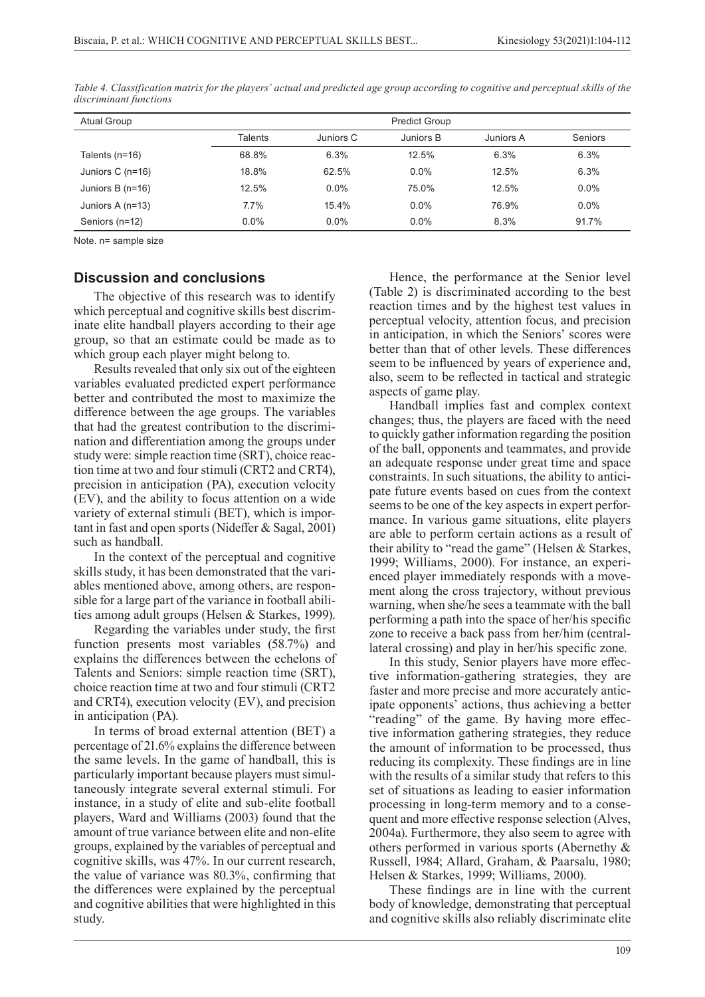| <b>Atual Group</b> | <b>Predict Group</b> |           |           |           |                |
|--------------------|----------------------|-----------|-----------|-----------|----------------|
|                    | Talents              | Juniors C | Juniors B | Juniors A | <b>Seniors</b> |
| Talents $(n=16)$   | 68.8%                | 6.3%      | 12.5%     | 6.3%      | 6.3%           |
| Juniors C $(n=16)$ | 18.8%                | 62.5%     | $0.0\%$   | 12.5%     | 6.3%           |
| Juniors B $(n=16)$ | 12.5%                | $0.0\%$   | 75.0%     | 12.5%     | $0.0\%$        |
| Juniors A (n=13)   | 7.7%                 | 15.4%     | $0.0\%$   | 76.9%     | 0.0%           |
| Seniors (n=12)     | $0.0\%$              | $0.0\%$   | $0.0\%$   | 8.3%      | 91.7%          |

*Table 4. Classification matrix for the players' actual and predicted age group according to cognitive and perceptual skills of the discriminant functions*

Note. n= sample size

#### **Discussion and conclusions**

The objective of this research was to identify which perceptual and cognitive skills best discriminate elite handball players according to their age group, so that an estimate could be made as to which group each player might belong to.

Results revealed that only six out of the eighteen variables evaluated predicted expert performance better and contributed the most to maximize the difference between the age groups. The variables that had the greatest contribution to the discrimination and differentiation among the groups under study were: simple reaction time (SRT), choice reaction time at two and four stimuli (CRT2 and CRT4), precision in anticipation (PA), execution velocity (EV), and the ability to focus attention on a wide variety of external stimuli (BET), which is important in fast and open sports (Nideffer & Sagal, 2001) such as handball.

In the context of the perceptual and cognitive skills study, it has been demonstrated that the variables mentioned above, among others, are responsible for a large part of the variance in football abilities among adult groups (Helsen & Starkes, 1999).

Regarding the variables under study, the first function presents most variables (58.7%) and explains the differences between the echelons of Talents and Seniors: simple reaction time (SRT), choice reaction time at two and four stimuli (CRT2 and CRT4), execution velocity (EV), and precision in anticipation (PA).

In terms of broad external attention (BET) a percentage of 21.6% explains the difference between the same levels. In the game of handball, this is particularly important because players must simultaneously integrate several external stimuli. For instance, in a study of elite and sub-elite football players, Ward and Williams (2003) found that the amount of true variance between elite and non-elite groups, explained by the variables of perceptual and cognitive skills, was 47%. In our current research, the value of variance was 80.3%, confirming that the differences were explained by the perceptual and cognitive abilities that were highlighted in this study.

Hence, the performance at the Senior level (Table 2) is discriminated according to the best reaction times and by the highest test values in perceptual velocity, attention focus, and precision in anticipation, in which the Seniors' scores were better than that of other levels. These differences seem to be influenced by years of experience and, also, seem to be reflected in tactical and strategic aspects of game play.

Handball implies fast and complex context changes; thus, the players are faced with the need to quickly gather information regarding the position of the ball, opponents and teammates, and provide an adequate response under great time and space constraints. In such situations, the ability to anticipate future events based on cues from the context seems to be one of the key aspects in expert performance. In various game situations, elite players are able to perform certain actions as a result of their ability to "read the game" (Helsen & Starkes, 1999; Williams, 2000). For instance, an experienced player immediately responds with a movement along the cross trajectory, without previous warning, when she/he sees a teammate with the ball performing a path into the space of her/his specific zone to receive a back pass from her/him (centrallateral crossing) and play in her/his specific zone.

In this study, Senior players have more effective information-gathering strategies, they are faster and more precise and more accurately anticipate opponents' actions, thus achieving a better "reading" of the game. By having more effective information gathering strategies, they reduce the amount of information to be processed, thus reducing its complexity. These findings are in line with the results of a similar study that refers to this set of situations as leading to easier information processing in long-term memory and to a consequent and more effective response selection (Alves, 2004a). Furthermore, they also seem to agree with others performed in various sports (Abernethy & Russell, 1984; Allard, Graham, & Paarsalu, 1980; Helsen & Starkes, 1999; Williams, 2000).

These findings are in line with the current body of knowledge, demonstrating that perceptual and cognitive skills also reliably discriminate elite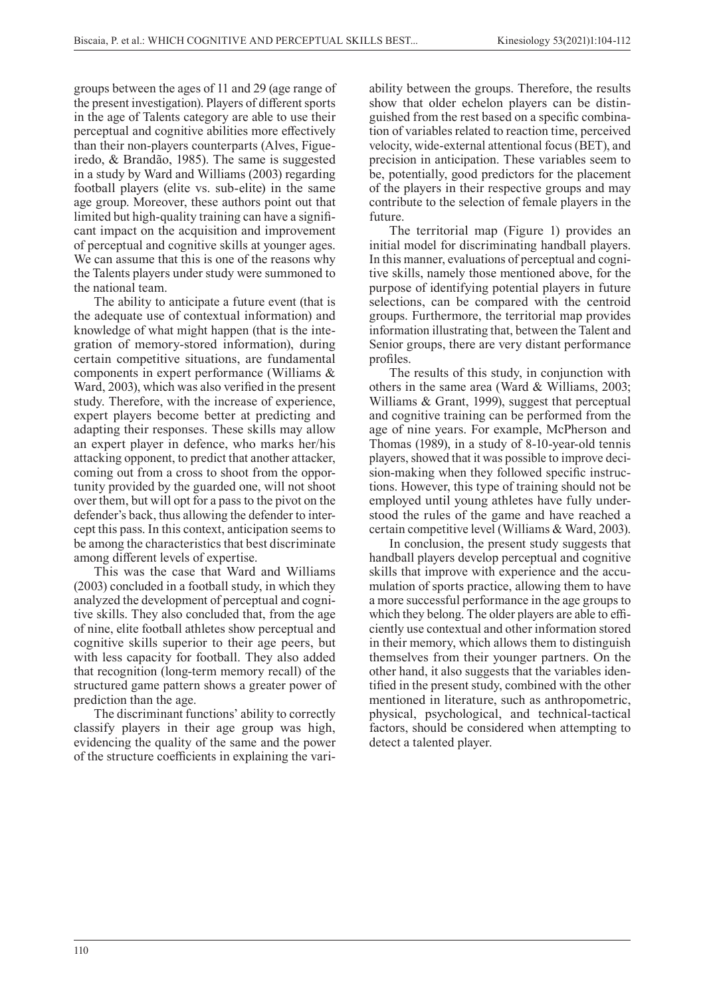groups between the ages of 11 and 29 (age range of the present investigation). Players of different sports in the age of Talents category are able to use their perceptual and cognitive abilities more effectively than their non-players counterparts (Alves, Figueiredo, & Brandão, 1985). The same is suggested in a study by Ward and Williams (2003) regarding football players (elite vs. sub-elite) in the same age group. Moreover, these authors point out that limited but high-quality training can have a significant impact on the acquisition and improvement of perceptual and cognitive skills at younger ages. We can assume that this is one of the reasons why the Talents players under study were summoned to the national team.

The ability to anticipate a future event (that is the adequate use of contextual information) and knowledge of what might happen (that is the integration of memory-stored information), during certain competitive situations, are fundamental components in expert performance (Williams & Ward, 2003), which was also verified in the present study. Therefore, with the increase of experience, expert players become better at predicting and adapting their responses. These skills may allow an expert player in defence, who marks her/his attacking opponent, to predict that another attacker, coming out from a cross to shoot from the opportunity provided by the guarded one, will not shoot over them, but will opt for a pass to the pivot on the defender's back, thus allowing the defender to intercept this pass. In this context, anticipation seems to be among the characteristics that best discriminate among different levels of expertise.

This was the case that Ward and Williams (2003) concluded in a football study, in which they analyzed the development of perceptual and cognitive skills. They also concluded that, from the age of nine, elite football athletes show perceptual and cognitive skills superior to their age peers, but with less capacity for football. They also added that recognition (long-term memory recall) of the structured game pattern shows a greater power of prediction than the age.

The discriminant functions' ability to correctly classify players in their age group was high, evidencing the quality of the same and the power of the structure coefficients in explaining the variability between the groups. Therefore, the results show that older echelon players can be distinguished from the rest based on a specific combination of variables related to reaction time, perceived velocity, wide-external attentional focus (BET), and precision in anticipation. These variables seem to be, potentially, good predictors for the placement of the players in their respective groups and may contribute to the selection of female players in the future.

The territorial map (Figure 1) provides an initial model for discriminating handball players. In this manner, evaluations of perceptual and cognitive skills, namely those mentioned above, for the purpose of identifying potential players in future selections, can be compared with the centroid groups. Furthermore, the territorial map provides information illustrating that, between the Talent and Senior groups, there are very distant performance profiles.

The results of this study, in conjunction with others in the same area (Ward & Williams, 2003; Williams & Grant, 1999), suggest that perceptual and cognitive training can be performed from the age of nine years. For example, McPherson and Thomas (1989), in a study of 8-10-year-old tennis players, showed that it was possible to improve decision-making when they followed specific instructions. However, this type of training should not be employed until young athletes have fully understood the rules of the game and have reached a certain competitive level (Williams & Ward, 2003).

In conclusion, the present study suggests that handball players develop perceptual and cognitive skills that improve with experience and the accumulation of sports practice, allowing them to have a more successful performance in the age groups to which they belong. The older players are able to efficiently use contextual and other information stored in their memory, which allows them to distinguish themselves from their younger partners. On the other hand, it also suggests that the variables identified in the present study, combined with the other mentioned in literature, such as anthropometric, physical, psychological, and technical-tactical factors, should be considered when attempting to detect a talented player.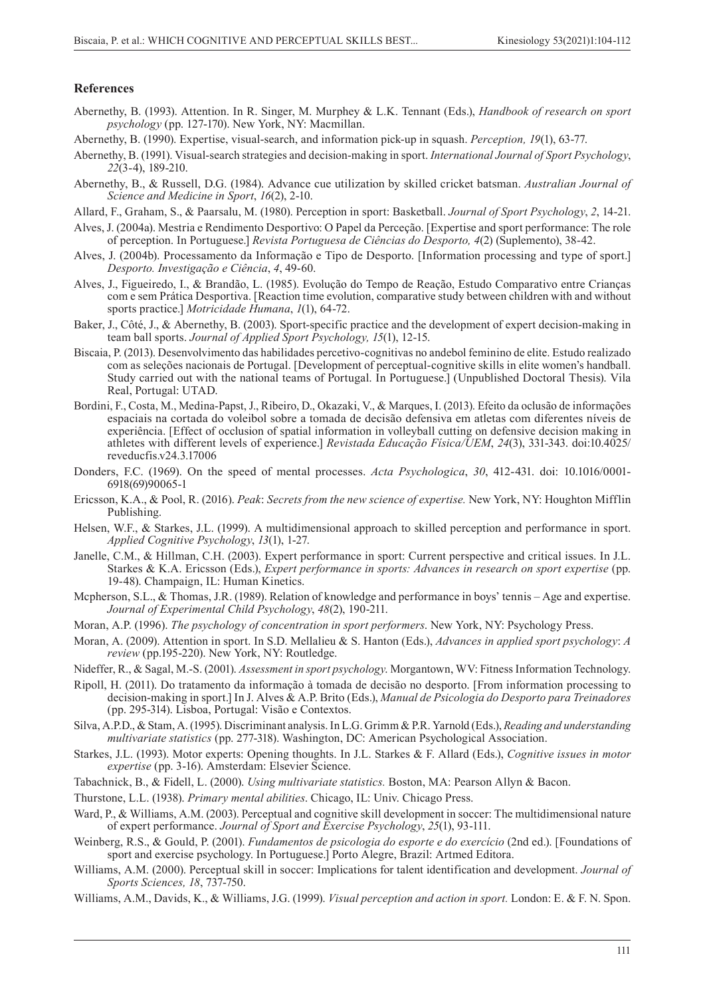#### **References**

Abernethy, B. (1993). Attention. In R. Singer, M. Murphey & L.K. Tennant (Eds.), *Handbook of research on sport psychology* (pp. 127-170). New York, NY: Macmillan.

Abernethy, B. (1990). Expertise, visual-search, and information pick-up in squash. *Perception, 19*(1), 63-77.

- Abernethy, B. (1991). Visual-search strategies and decision-making in sport. *International Journal of Sport Psychology*, *22*(3-4), 189-210.
- Abernethy, B., & Russell, D.G. (1984). Advance cue utilization by skilled cricket batsman. *Australian Journal of Science and Medicine in Sport*, *16*(2), 2-10.
- Allard, F., Graham, S., & Paarsalu, M. (1980). Perception in sport: Basketball. *Journal of Sport Psychology*, *2*, 14-21.
- Alves, J. (2004a). Mestria e Rendimento Desportivo: O Papel da Perceção. [Expertise and sport performance: The role of perception. In Portuguese.] *Revista Portuguesa de Ciências do Desporto, 4*(2) (Suplemento), 38-42.
- Alves, J. (2004b). Processamento da Informação e Tipo de Desporto. [Information processing and type of sport.] *Desporto. Investigação e Ciência*, *4*, 49-60.
- Alves, J., Figueiredo, I., & Brandão, L. (1985). Evolução do Tempo de Reação, Estudo Comparativo entre Crianças com e sem Prática Desportiva. [Reaction time evolution, comparative study between children with and without sports practice.] *Motricidade Humana*, *1*(1), 64-72.
- Baker, J., Côté, J., & Abernethy, B. (2003). Sport-specific practice and the development of expert decision-making in team ball sports. *Journal of Applied Sport Psychology, 15*(1), 12-15.
- Biscaia, P. (2013). Desenvolvimento das habilidades percetivo-cognitivas no andebol feminino de elite. Estudo realizado com as seleções nacionais de Portugal. [Development of perceptual-cognitive skills in elite women's handball. Study carried out with the national teams of Portugal. In Portuguese.] (Unpublished Doctoral Thesis). Vila Real, Portugal: UTAD.
- Bordini, F., Costa, M., Medina-Papst, J., Ribeiro, D., Okazaki, V., & Marques, I. (2013). Efeito da oclusão de informações espaciais na cortada do voleibol sobre a tomada de decisão defensiva em atletas com diferentes níveis de experiência. [Effect of occlusion of spatial information in volleyball cutting on defensive decision making in athletes with different levels of experience.] *Revistada Educação Física/UEM*, *24*(3), 331-343. doi:10.4025/ reveducfis.v24.3.17006
- Donders, F.C. (1969). On the speed of mental processes. *Acta Psychologica*, *30*, 412-431. doi: 10.1016/0001- 6918(69)90065-1
- Ericsson, K.A., & Pool, R. (2016). *Peak*: *Secrets from the new science of expertise.* New York, NY: Houghton Mifflin Publishing.
- Helsen, W.F., & Starkes, J.L. (1999). A multidimensional approach to skilled perception and performance in sport. *Applied Cognitive Psychology*, *13*(1), 1-27.
- Janelle, C.M., & Hillman, C.H. (2003). Expert performance in sport: Current perspective and critical issues. In J.L. Starkes & K.A. Ericsson (Eds.), *Expert performance in sports: Advances in research on sport expertise* (pp. 19-48). Champaign, IL: Human Kinetics.
- Mcpherson, S.L., & Thomas, J.R. (1989). Relation of knowledge and performance in boys' tennis Age and expertise. *Journal of Experimental Child Psychology*, *48*(2), 190-211.
- Moran, A.P. (1996). *The psychology of concentration in sport performers*. New York, NY: Psychology Press.
- Moran, A. (2009). Attention in sport. In S.D. Mellalieu & S. Hanton (Eds.), *Advances in applied sport psychology*: *A review* (pp.195-220). New York, NY: Routledge.
- Nideffer, R., & Sagal, M.-S. (2001). *Assessment in sport psychology*. Morgantown, WV: Fitness Information Technology.
- Ripoll, H. (2011). Do tratamento da informação à tomada de decisão no desporto. [From information processing to decision-making in sport.] In J. Alves & A.P. Brito (Eds.), *Manual de Psicologia do Desporto para Treinadores* (pp. 295-314). Lisboa, Portugal: Visão e Contextos.
- Silva, A.P.D., & Stam, A. (1995). Discriminant analysis. In L.G. Grimm & P.R. Yarnold (Eds.), *Reading and understanding multivariate statistics* (pp. 277-318). Washington, DC: American Psychological Association.
- Starkes, J.L. (1993). Motor experts: Opening thoughts. In J.L. Starkes & F. Allard (Eds.), *Cognitive issues in motor expertise* (pp. 3-16). Amsterdam: Elsevier Science.
- Tabachnick, B., & Fidell, L. (2000). *Using multivariate statistics.* Boston, MA: Pearson Allyn & Bacon.
- Thurstone, L.L. (1938). *Primary mental abilities*. Chicago, IL: Univ. Chicago Press.
- Ward, P., & Williams, A.M. (2003). Perceptual and cognitive skill development in soccer: The multidimensional nature of expert performance. *Journal of Sport and Exercise Psychology*, *25*(1), 93-111.
- Weinberg, R.S., & Gould, P. (2001). *Fundamentos de psicologia do esporte e do exercício* (2nd ed.). [Foundations of sport and exercise psychology. In Portuguese.] Porto Alegre, Brazil: Artmed Editora.
- Williams, A.M. (2000). Perceptual skill in soccer: Implications for talent identification and development. *Journal of Sports Sciences, 18*, 737-750.
- Williams, A.M., Davids, K., & Williams, J.G. (1999). *Visual perception and action in sport.* London: E. & F. N. Spon.